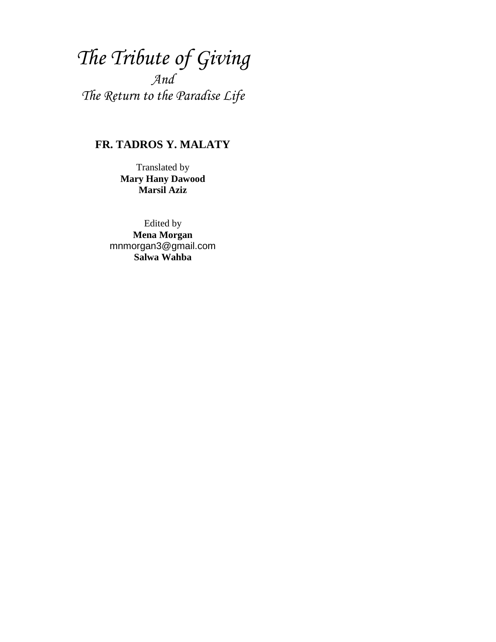*The Tribute of Giving And The Return to the Paradise Life*

# **FR. TADROS Y. MALATY**

Translated by **Mary Hany Dawood Marsil Aziz**

Edited by **Mena Morgan** mnmorgan3@gmail.com **Salwa Wahba**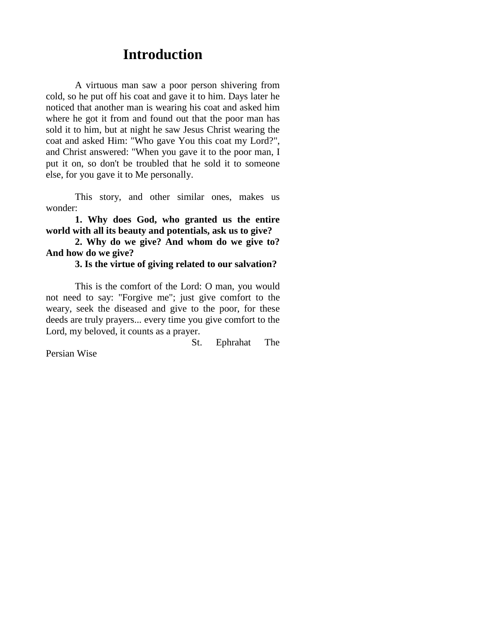# **Introduction**

A virtuous man saw a poor person shivering from cold, so he put off his coat and gave it to him. Days later he noticed that another man is wearing his coat and asked him where he got it from and found out that the poor man has sold it to him, but at night he saw Jesus Christ wearing the coat and asked Him: "Who gave You this coat my Lord?", and Christ answered: "When you gave it to the poor man, I put it on, so don't be troubled that he sold it to someone else, for you gave it to Me personally.

This story, and other similar ones, makes us wonder:

**1. Why does God, who granted us the entire world with all its beauty and potentials, ask us to give?**

**2. Why do we give? And whom do we give to? And how do we give?**

**3. Is the virtue of giving related to our salvation?**

This is the comfort of the Lord: O man, you would not need to say: "Forgive me"; just give comfort to the weary, seek the diseased and give to the poor, for these deeds are truly prayers... every time you give comfort to the Lord, my beloved, it counts as a prayer.

St. Ephrahat The

Persian Wise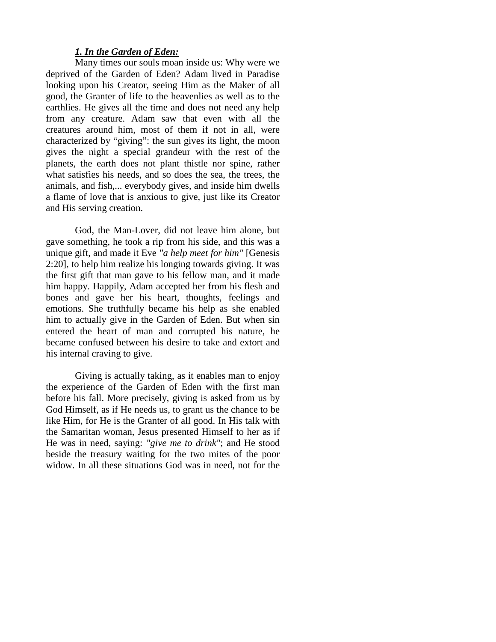## *1. In the Garden of Eden:*

Many times our souls moan inside us: Why were we deprived of the Garden of Eden? Adam lived in Paradise looking upon his Creator, seeing Him as the Maker of all good, the Granter of life to the heavenlies as well as to the earthlies. He gives all the time and does not need any help from any creature. Adam saw that even with all the creatures around him, most of them if not in all, were characterized by "giving": the sun gives its light, the moon gives the night a special grandeur with the rest of the planets, the earth does not plant thistle nor spine, rather what satisfies his needs, and so does the sea, the trees, the animals, and fish,... everybody gives, and inside him dwells a flame of love that is anxious to give, just like its Creator and His serving creation.

God, the Man-Lover, did not leave him alone, but gave something, he took a rip from his side, and this was a unique gift, and made it Eve *"a help meet for him"* [Genesis 2:20], to help him realize his longing towards giving. It was the first gift that man gave to his fellow man, and it made him happy. Happily, Adam accepted her from his flesh and bones and gave her his heart, thoughts, feelings and emotions. She truthfully became his help as she enabled him to actually give in the Garden of Eden. But when sin entered the heart of man and corrupted his nature, he became confused between his desire to take and extort and his internal craving to give.

Giving is actually taking, as it enables man to enjoy the experience of the Garden of Eden with the first man before his fall. More precisely, giving is asked from us by God Himself, as if He needs us, to grant us the chance to be like Him, for He is the Granter of all good. In His talk with the Samaritan woman, Jesus presented Himself to her as if He was in need, saying: *"give me to drink"*; and He stood beside the treasury waiting for the two mites of the poor widow. In all these situations God was in need, not for the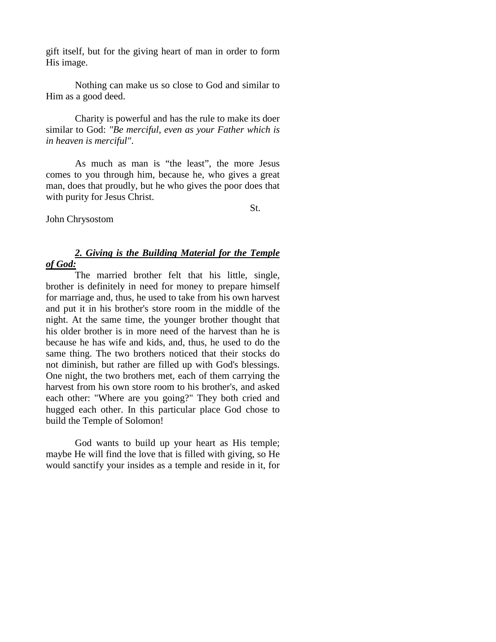gift itself, but for the giving heart of man in order to form His image.

Nothing can make us so close to God and similar to Him as a good deed.

Charity is powerful and has the rule to make its doer similar to God: *"Be merciful, even as your Father which is in heaven is merciful"*.

As much as man is "the least", the more Jesus comes to you through him, because he, who gives a great man, does that proudly, but he who gives the poor does that with purity for Jesus Christ.

St.

John Chrysostom

# *2. Giving is the Building Material for the Temple of God:*

The married brother felt that his little, single, brother is definitely in need for money to prepare himself for marriage and, thus, he used to take from his own harvest and put it in his brother's store room in the middle of the night. At the same time, the younger brother thought that his older brother is in more need of the harvest than he is because he has wife and kids, and, thus, he used to do the same thing. The two brothers noticed that their stocks do not diminish, but rather are filled up with God's blessings. One night, the two brothers met, each of them carrying the harvest from his own store room to his brother's, and asked each other: "Where are you going?" They both cried and hugged each other. In this particular place God chose to build the Temple of Solomon!

God wants to build up your heart as His temple; maybe He will find the love that is filled with giving, so He would sanctify your insides as a temple and reside in it, for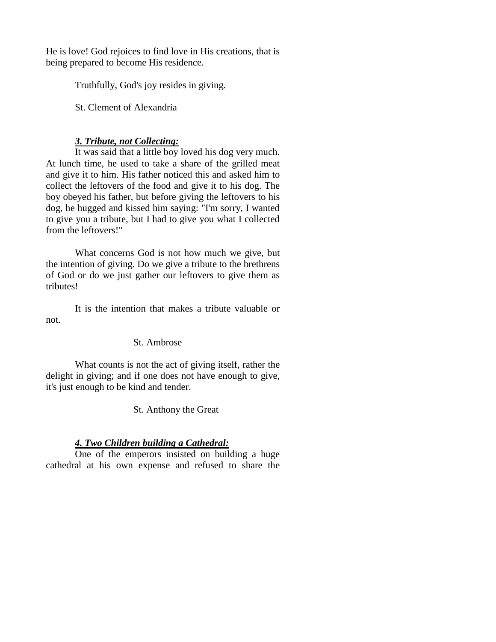He is love! God rejoices to find love in His creations, that is being prepared to become His residence.

Truthfully, God's joy resides in giving.

St. Clement of Alexandria

# *3. Tribute, not Collecting:*

It was said that a little boy loved his dog very much. At lunch time, he used to take a share of the grilled meat and give it to him. His father noticed this and asked him to collect the leftovers of the food and give it to his dog. The boy obeyed his father, but before giving the leftovers to his dog, he hugged and kissed him saying: "I'm sorry, I wanted to give you a tribute, but I had to give you what I collected from the leftovers!"

What concerns God is not how much we give, but the intention of giving. Do we give a tribute to the brethrens of God or do we just gather our leftovers to give them as tributes!

It is the intention that makes a tribute valuable or not.

## St. Ambrose

What counts is not the act of giving itself, rather the delight in giving; and if one does not have enough to give, it's just enough to be kind and tender.

St. Anthony the Great

## *4. Two Children building a Cathedral:*

One of the emperors insisted on building a huge cathedral at his own expense and refused to share the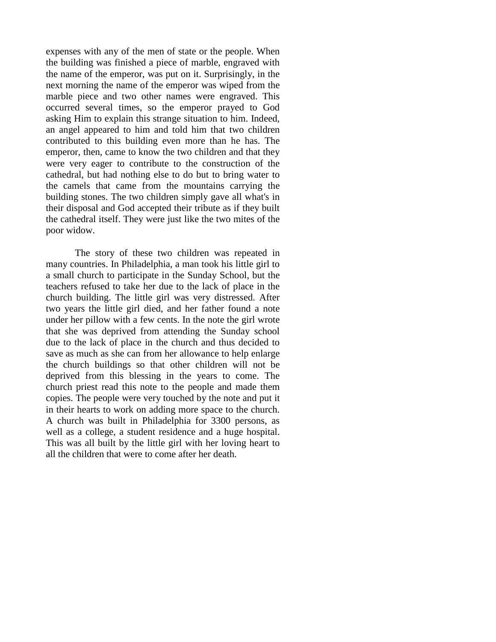expenses with any of the men of state or the people. When the building was finished a piece of marble, engraved with the name of the emperor, was put on it. Surprisingly, in the next morning the name of the emperor was wiped from the marble piece and two other names were engraved. This occurred several times, so the emperor prayed to God asking Him to explain this strange situation to him. Indeed, an angel appeared to him and told him that two children contributed to this building even more than he has. The emperor, then, came to know the two children and that they were very eager to contribute to the construction of the cathedral, but had nothing else to do but to bring water to the camels that came from the mountains carrying the building stones. The two children simply gave all what's in their disposal and God accepted their tribute as if they built the cathedral itself. They were just like the two mites of the poor widow.

The story of these two children was repeated in many countries. In Philadelphia, a man took his little girl to a small church to participate in the Sunday School, but the teachers refused to take her due to the lack of place in the church building. The little girl was very distressed. After two years the little girl died, and her father found a note under her pillow with a few cents. In the note the girl wrote that she was deprived from attending the Sunday school due to the lack of place in the church and thus decided to save as much as she can from her allowance to help enlarge the church buildings so that other children will not be deprived from this blessing in the years to come. The church priest read this note to the people and made them copies. The people were very touched by the note and put it in their hearts to work on adding more space to the church. A church was built in Philadelphia for 3300 persons, as well as a college, a student residence and a huge hospital. This was all built by the little girl with her loving heart to all the children that were to come after her death.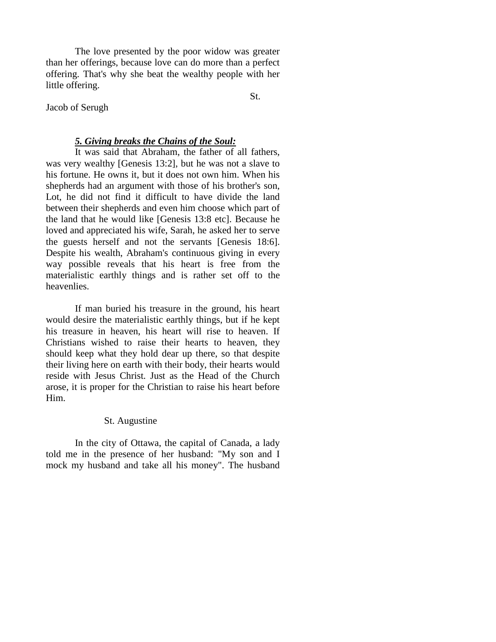The love presented by the poor widow was greater than her offerings, because love can do more than a perfect offering. That's why she beat the wealthy people with her little offering.

St.

Jacob of Serugh

#### *5. Giving breaks the Chains of the Soul:*

It was said that Abraham, the father of all fathers, was very wealthy [Genesis 13:2], but he was not a slave to his fortune. He owns it, but it does not own him. When his shepherds had an argument with those of his brother's son, Lot, he did not find it difficult to have divide the land between their shepherds and even him choose which part of the land that he would like [Genesis 13:8 etc]. Because he loved and appreciated his wife, Sarah, he asked her to serve the guests herself and not the servants [Genesis 18:6]. Despite his wealth, Abraham's continuous giving in every way possible reveals that his heart is free from the materialistic earthly things and is rather set off to the heavenlies.

If man buried his treasure in the ground, his heart would desire the materialistic earthly things, but if he kept his treasure in heaven, his heart will rise to heaven. If Christians wished to raise their hearts to heaven, they should keep what they hold dear up there, so that despite their living here on earth with their body, their hearts would reside with Jesus Christ. Just as the Head of the Church arose, it is proper for the Christian to raise his heart before Him.

### St. Augustine

In the city of Ottawa, the capital of Canada, a lady told me in the presence of her husband: "My son and I mock my husband and take all his money". The husband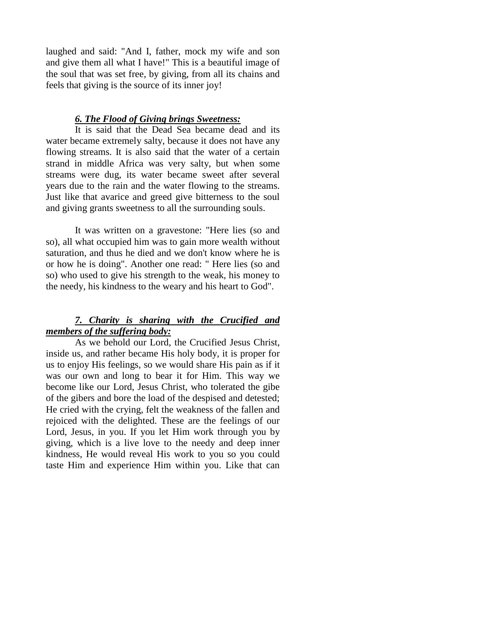laughed and said: "And I, father, mock my wife and son and give them all what I have!" This is a beautiful image of the soul that was set free, by giving, from all its chains and feels that giving is the source of its inner joy!

#### *6. The Flood of Giving brings Sweetness:*

It is said that the Dead Sea became dead and its water became extremely salty, because it does not have any flowing streams. It is also said that the water of a certain strand in middle Africa was very salty, but when some streams were dug, its water became sweet after several years due to the rain and the water flowing to the streams. Just like that avarice and greed give bitterness to the soul and giving grants sweetness to all the surrounding souls.

It was written on a gravestone: "Here lies (so and so), all what occupied him was to gain more wealth without saturation, and thus he died and we don't know where he is or how he is doing". Another one read: " Here lies (so and so) who used to give his strength to the weak, his money to the needy, his kindness to the weary and his heart to God".

# *7. Charity is sharing with the Crucified and members of the suffering body:*

As we behold our Lord, the Crucified Jesus Christ, inside us, and rather became His holy body, it is proper for us to enjoy His feelings, so we would share His pain as if it was our own and long to bear it for Him. This way we become like our Lord, Jesus Christ, who tolerated the gibe of the gibers and bore the load of the despised and detested; He cried with the crying, felt the weakness of the fallen and rejoiced with the delighted. These are the feelings of our Lord, Jesus, in you. If you let Him work through you by giving, which is a live love to the needy and deep inner kindness, He would reveal His work to you so you could taste Him and experience Him within you. Like that can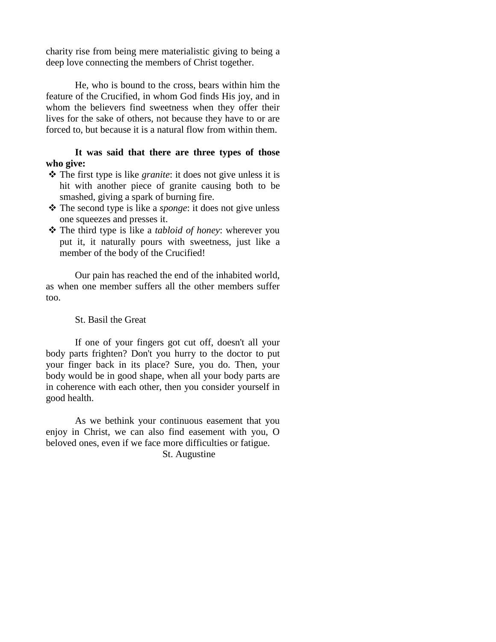charity rise from being mere materialistic giving to being a deep love connecting the members of Christ together.

He, who is bound to the cross, bears within him the feature of the Crucified, in whom God finds His joy, and in whom the believers find sweetness when they offer their lives for the sake of others, not because they have to or are forced to, but because it is a natural flow from within them.

## **It was said that there are three types of those who give:**

- The first type is like *granite*: it does not give unless it is hit with another piece of granite causing both to be smashed, giving a spark of burning fire.
- The second type is like a *sponge*: it does not give unless one squeezes and presses it.
- The third type is like a *tabloid of honey*: wherever you put it, it naturally pours with sweetness, just like a member of the body of the Crucified!

Our pain has reached the end of the inhabited world, as when one member suffers all the other members suffer too.

## St. Basil the Great

If one of your fingers got cut off, doesn't all your body parts frighten? Don't you hurry to the doctor to put your finger back in its place? Sure, you do. Then, your body would be in good shape, when all your body parts are in coherence with each other, then you consider yourself in good health.

As we bethink your continuous easement that you enjoy in Christ, we can also find easement with you, O beloved ones, even if we face more difficulties or fatigue. St. Augustine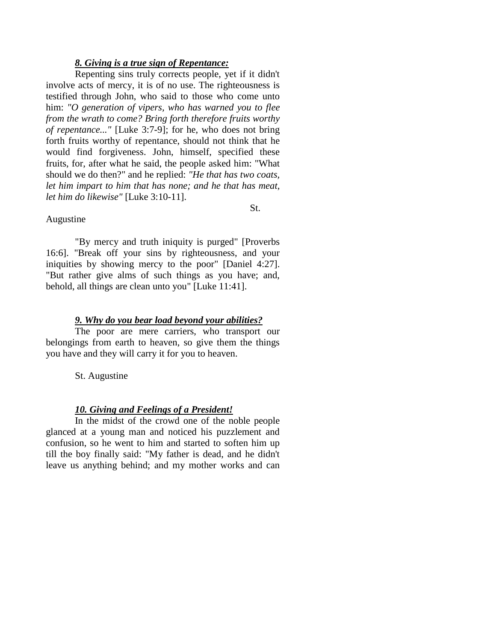## *8. Giving is a true sign of Repentance:*

Repenting sins truly corrects people, yet if it didn't involve acts of mercy, it is of no use. The righteousness is testified through John, who said to those who come unto him: *"O generation of vipers, who has warned you to flee from the wrath to come? Bring forth therefore fruits worthy of repentance..."* [Luke 3:7-9]; for he, who does not bring forth fruits worthy of repentance, should not think that he would find forgiveness. John, himself, specified these fruits, for, after what he said, the people asked him: "What should we do then?" and he replied: *"He that has two coats, let him impart to him that has none; and he that has meat, let him do likewise"* [Luke 3:10-11].

St.

#### Augustine

"By mercy and truth iniquity is purged" [Proverbs 16:6]. "Break off your sins by righteousness, and your iniquities by showing mercy to the poor" [Daniel 4:27]. "But rather give alms of such things as you have; and, behold, all things are clean unto you" [Luke 11:41].

#### *9. Why do you bear load beyond your abilities?*

The poor are mere carriers, who transport our belongings from earth to heaven, so give them the things you have and they will carry it for you to heaven.

St. Augustine

## *10. Giving and Feelings of a President!*

In the midst of the crowd one of the noble people glanced at a young man and noticed his puzzlement and confusion, so he went to him and started to soften him up till the boy finally said: "My father is dead, and he didn't leave us anything behind; and my mother works and can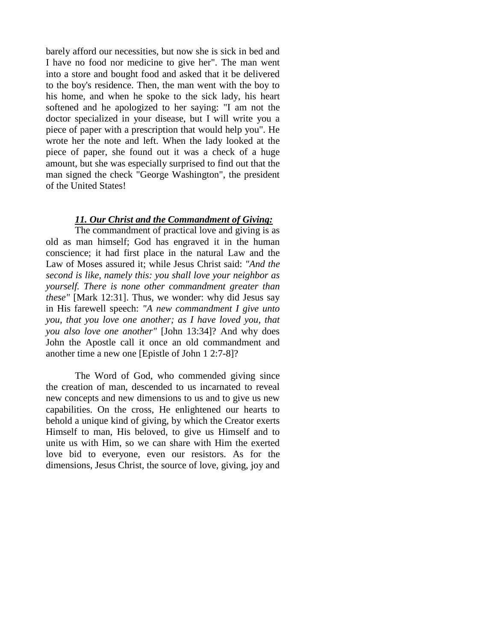barely afford our necessities, but now she is sick in bed and I have no food nor medicine to give her". The man went into a store and bought food and asked that it be delivered to the boy's residence. Then, the man went with the boy to his home, and when he spoke to the sick lady, his heart softened and he apologized to her saying: "I am not the doctor specialized in your disease, but I will write you a piece of paper with a prescription that would help you". He wrote her the note and left. When the lady looked at the piece of paper, she found out it was a check of a huge amount, but she was especially surprised to find out that the man signed the check "George Washington", the president of the United States!

#### *11. Our Christ and the Commandment of Giving:*

The commandment of practical love and giving is as old as man himself; God has engraved it in the human conscience; it had first place in the natural Law and the Law of Moses assured it; while Jesus Christ said: *"And the second is like, namely this: you shall love your neighbor as yourself. There is none other commandment greater than these"* [Mark 12:31]. Thus, we wonder: why did Jesus say in His farewell speech: *"A new commandment I give unto you, that you love one another; as I have loved you, that you also love one another"* [John 13:34]? And why does John the Apostle call it once an old commandment and another time a new one [Epistle of John 1 2:7-8]?

The Word of God, who commended giving since the creation of man, descended to us incarnated to reveal new concepts and new dimensions to us and to give us new capabilities. On the cross, He enlightened our hearts to behold a unique kind of giving, by which the Creator exerts Himself to man, His beloved, to give us Himself and to unite us with Him, so we can share with Him the exerted love bid to everyone, even our resistors. As for the dimensions, Jesus Christ, the source of love, giving, joy and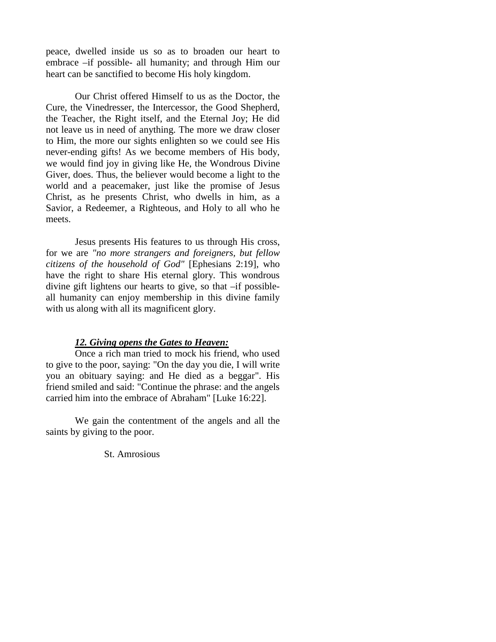peace, dwelled inside us so as to broaden our heart to embrace –if possible- all humanity; and through Him our heart can be sanctified to become His holy kingdom.

Our Christ offered Himself to us as the Doctor, the Cure, the Vinedresser, the Intercessor, the Good Shepherd, the Teacher, the Right itself, and the Eternal Joy; He did not leave us in need of anything. The more we draw closer to Him, the more our sights enlighten so we could see His never-ending gifts! As we become members of His body, we would find joy in giving like He, the Wondrous Divine Giver, does. Thus, the believer would become a light to the world and a peacemaker, just like the promise of Jesus Christ, as he presents Christ, who dwells in him, as a Savior, a Redeemer, a Righteous, and Holy to all who he meets.

Jesus presents His features to us through His cross, for we are *"no more strangers and foreigners, but fellow citizens of the household of God"* [Ephesians 2:19], who have the right to share His eternal glory. This wondrous divine gift lightens our hearts to give, so that –if possibleall humanity can enjoy membership in this divine family with us along with all its magnificent glory.

## *12. Giving opens the Gates to Heaven:*

Once a rich man tried to mock his friend, who used to give to the poor, saying: "On the day you die, I will write you an obituary saying: and He died as a beggar". His friend smiled and said: "Continue the phrase: and the angels carried him into the embrace of Abraham" [Luke 16:22].

We gain the contentment of the angels and all the saints by giving to the poor.

St. Amrosious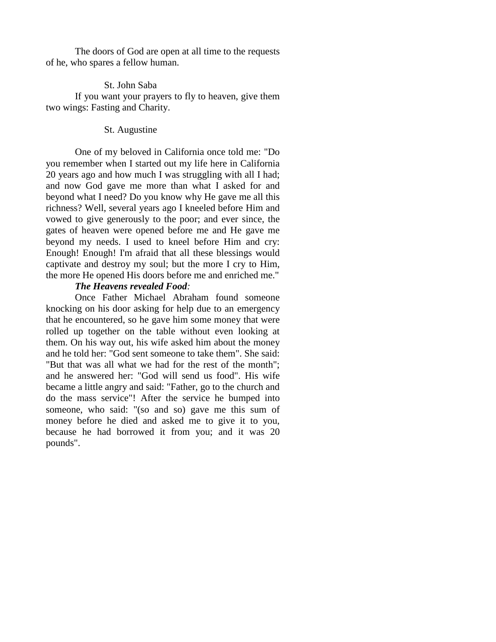The doors of God are open at all time to the requests of he, who spares a fellow human.

## St. John Saba

If you want your prayers to fly to heaven, give them two wings: Fasting and Charity.

## St. Augustine

One of my beloved in California once told me: "Do you remember when I started out my life here in California 20 years ago and how much I was struggling with all I had; and now God gave me more than what I asked for and beyond what I need? Do you know why He gave me all this richness? Well, several years ago I kneeled before Him and vowed to give generously to the poor; and ever since, the gates of heaven were opened before me and He gave me beyond my needs. I used to kneel before Him and cry: Enough! Enough! I'm afraid that all these blessings would captivate and destroy my soul; but the more I cry to Him, the more He opened His doors before me and enriched me."

## *The Heavens revealed Food:*

Once Father Michael Abraham found someone knocking on his door asking for help due to an emergency that he encountered, so he gave him some money that were rolled up together on the table without even looking at them. On his way out, his wife asked him about the money and he told her: "God sent someone to take them". She said: "But that was all what we had for the rest of the month"; and he answered her: "God will send us food". His wife became a little angry and said: "Father, go to the church and do the mass service"! After the service he bumped into someone, who said: "(so and so) gave me this sum of money before he died and asked me to give it to you, because he had borrowed it from you; and it was 20 pounds".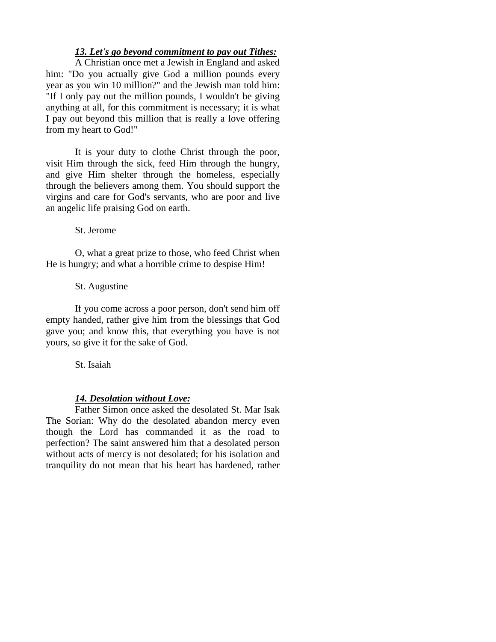## *13. Let's go beyond commitment to pay out Tithes:*

A Christian once met a Jewish in England and asked him: "Do you actually give God a million pounds every year as you win 10 million?" and the Jewish man told him: "If I only pay out the million pounds, I wouldn't be giving anything at all, for this commitment is necessary; it is what I pay out beyond this million that is really a love offering from my heart to God!"

It is your duty to clothe Christ through the poor, visit Him through the sick, feed Him through the hungry, and give Him shelter through the homeless, especially through the believers among them. You should support the virgins and care for God's servants, who are poor and live an angelic life praising God on earth.

St. Jerome

O, what a great prize to those, who feed Christ when He is hungry; and what a horrible crime to despise Him!

St. Augustine

If you come across a poor person, don't send him off empty handed, rather give him from the blessings that God gave you; and know this, that everything you have is not yours, so give it for the sake of God.

St. Isaiah

## *14. Desolation without Love:*

Father Simon once asked the desolated St. Mar Isak The Sorian: Why do the desolated abandon mercy even though the Lord has commanded it as the road to perfection? The saint answered him that a desolated person without acts of mercy is not desolated; for his isolation and tranquility do not mean that his heart has hardened, rather